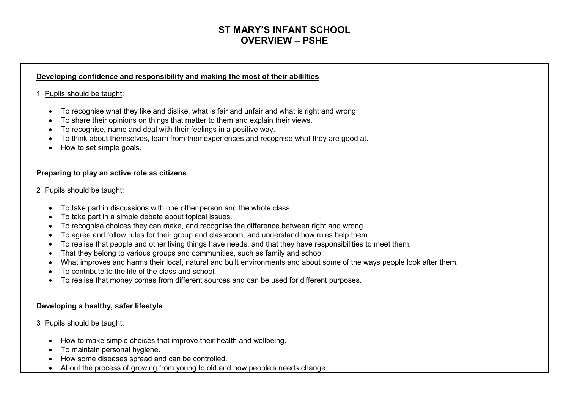# **ST MARY'S INFANT SCHOOL OVERVIEW – PSHE**

#### **Developing confidence and responsibility and making the most of their abililties**

## 1 Pupils should be taught:

- To recognise what they like and dislike, what is fair and unfair and what is right and wrong.
- To share their opinions on things that matter to them and explain their views.
- To recognise, name and deal with their feelings in a positive way.
- To think about themselves, learn from their experiences and recognise what they are good at.
- How to set simple goals.

## **Preparing to play an active role as citizens**

### 2 Pupils should be taught:

- To take part in discussions with one other person and the whole class.
- To take part in a simple debate about topical issues.
- To recognise choices they can make, and recognise the difference between right and wrong.
- To agree and follow rules for their group and classroom, and understand how rules help them.
- To realise that people and other living things have needs, and that they have responsibilities to meet them.
- That they belong to various groups and communities, such as family and school.
- What improves and harms their local, natural and built environments and about some of the ways people look after them.
- To contribute to the life of the class and school.
- To realise that money comes from different sources and can be used for different purposes.

### **Developing a healthy, safer lifestyle**

### 3 Pupils should be taught:

- How to make simple choices that improve their health and wellbeing.
- To maintain personal hygiene.
- How some diseases spread and can be controlled.
- About the process of growing from young to old and how people's needs change.